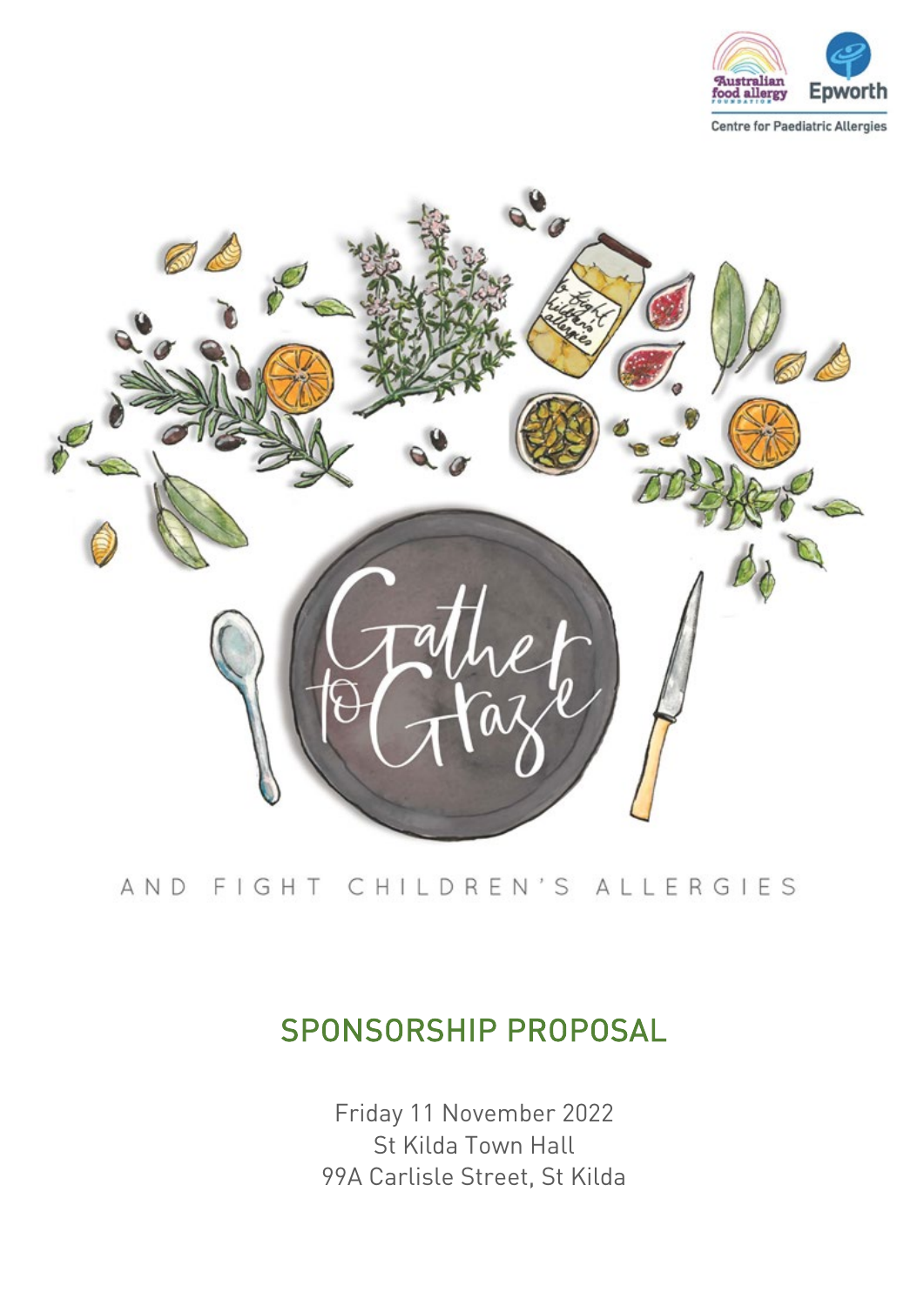



# AND FIGHT CHILDREN'S ALLERGIES

# SPONSORSHIP PROPOSAL

Friday 11 November 2022 St Kilda Town Hall 99A Carlisle Street, St Kilda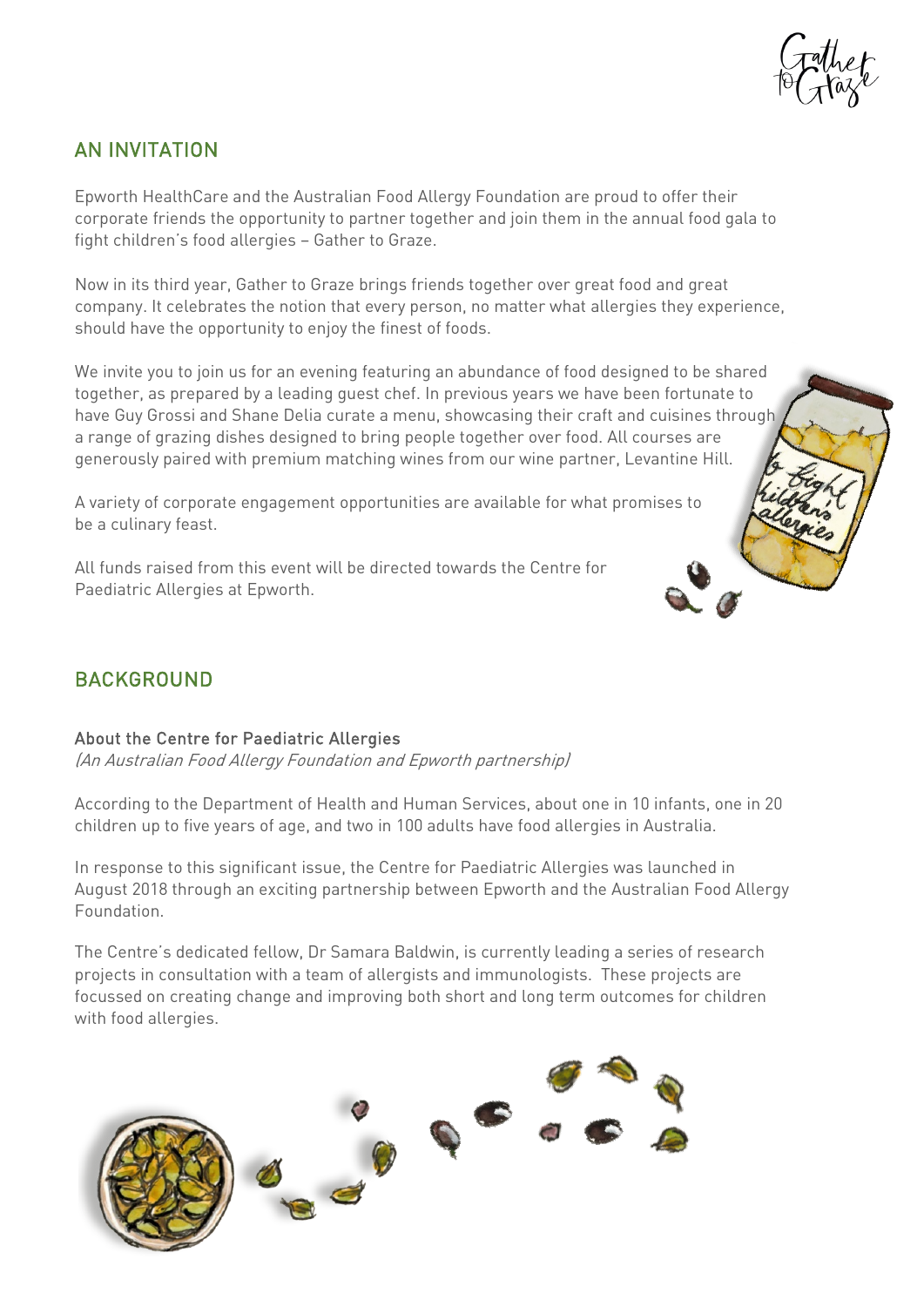

### AN INVITATION

Epworth HealthCare and the Australian Food Allergy Foundation are proud to offer their corporate friends the opportunity to partner together and join them in the annual food gala to fight children's food allergies – Gather to Graze.

Now in its third year, Gather to Graze brings friends together over great food and great company. It celebrates the notion that every person, no matter what allergies they experience, should have the opportunity to enjoy the finest of foods.

We invite you to join us for an evening featuring an abundance of food designed to be shared together, as prepared by a leading guest chef. In previous years we have been fortunate to have Guy Grossi and Shane Delia curate a menu, showcasing their craft and cuisines through a range of grazing dishes designed to bring people together over food. All courses are generously paired with premium matching wines from our wine partner, Levantine Hill.

A variety of corporate engagement opportunities are available for what promises to be a culinary feast.

All funds raised from this event will be directed towards the Centre for Paediatric Allergies at Epworth.

## BACKGROUND

#### About the Centre for Paediatric Allergies

(An Australian Food Allergy Foundation and Epworth partnership)

According to the Department of Health and Human Services, about one in 10 infants, one in 20 children up to five years of age, and two in 100 adults have food allergies in Australia.

In response to this significant issue, the Centre for Paediatric Allergies was launched in August 2018 through an exciting partnership between Epworth and the Australian Food Allergy Foundation.

The Centre's dedicated fellow, Dr Samara Baldwin, is currently leading a series of research projects in consultation with a team of allergists and immunologists. These projects are focussed on creating change and improving both short and long term outcomes for children with food allergies.

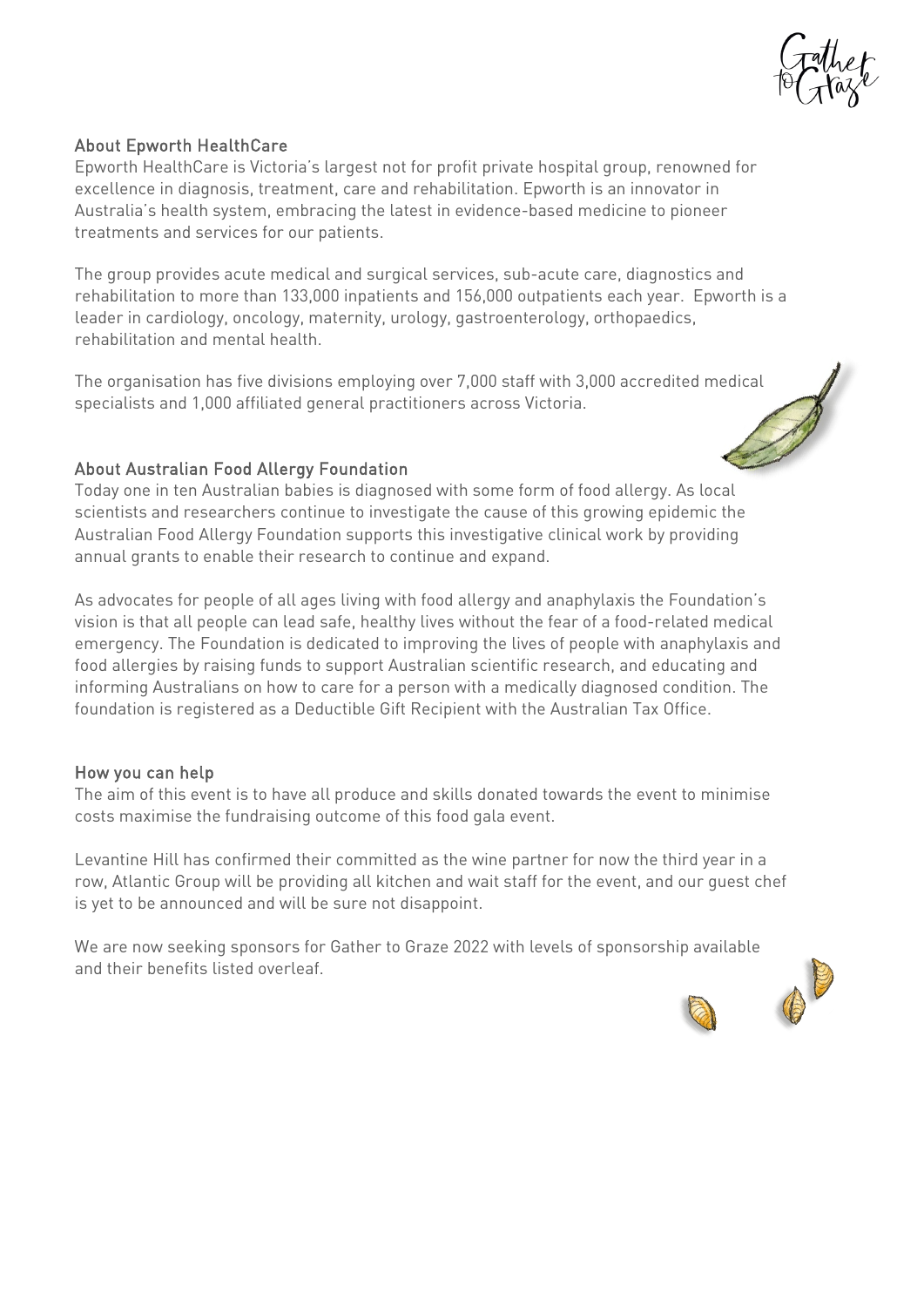

### About Epworth HealthCare

Epworth HealthCare is Victoria's largest not for profit private hospital group, renowned for excellence in diagnosis, treatment, care and rehabilitation. Epworth is an innovator in Australia's health system, embracing the latest in evidence-based medicine to pioneer treatments and services for our patients.

The group provides acute medical and surgical services, sub-acute care, diagnostics and rehabilitation to more than 133,000 inpatients and 156,000 outpatients each year. Epworth is a leader in cardiology, oncology, maternity, urology, gastroenterology, orthopaedics, rehabilitation and mental health.

The organisation has five divisions employing over 7,000 staff with 3,000 accredited medical specialists and 1,000 affiliated general practitioners across Victoria.

#### About Australian Food Allergy Foundation

Today one in ten Australian babies is diagnosed with some form of food allergy. As local scientists and researchers continue to investigate the cause of this growing epidemic the Australian Food Allergy Foundation supports this investigative clinical work by providing annual grants to enable their research to continue and expand.

As advocates for people of all ages living with food allergy and anaphylaxis the Foundation's vision is that all people can lead safe, healthy lives without the fear of a food-related medical emergency. The Foundation is dedicated to improving the lives of people with anaphylaxis and food allergies by raising funds to support Australian scientific research, and educating and informing Australians on how to care for a person with a medically diagnosed condition. The foundation is registered as a Deductible Gift Recipient with the Australian Tax Office.

#### How you can help

The aim of this event is to have all produce and skills donated towards the event to minimise costs maximise the fundraising outcome of this food gala event.

Levantine Hill has confirmed their committed as the wine partner for now the third year in a row, Atlantic Group will be providing all kitchen and wait staff for the event, and our guest chef is yet to be announced and will be sure not disappoint.

We are now seeking sponsors for Gather to Graze 2022 with levels of sponsorship available and their benefits listed overleaf.

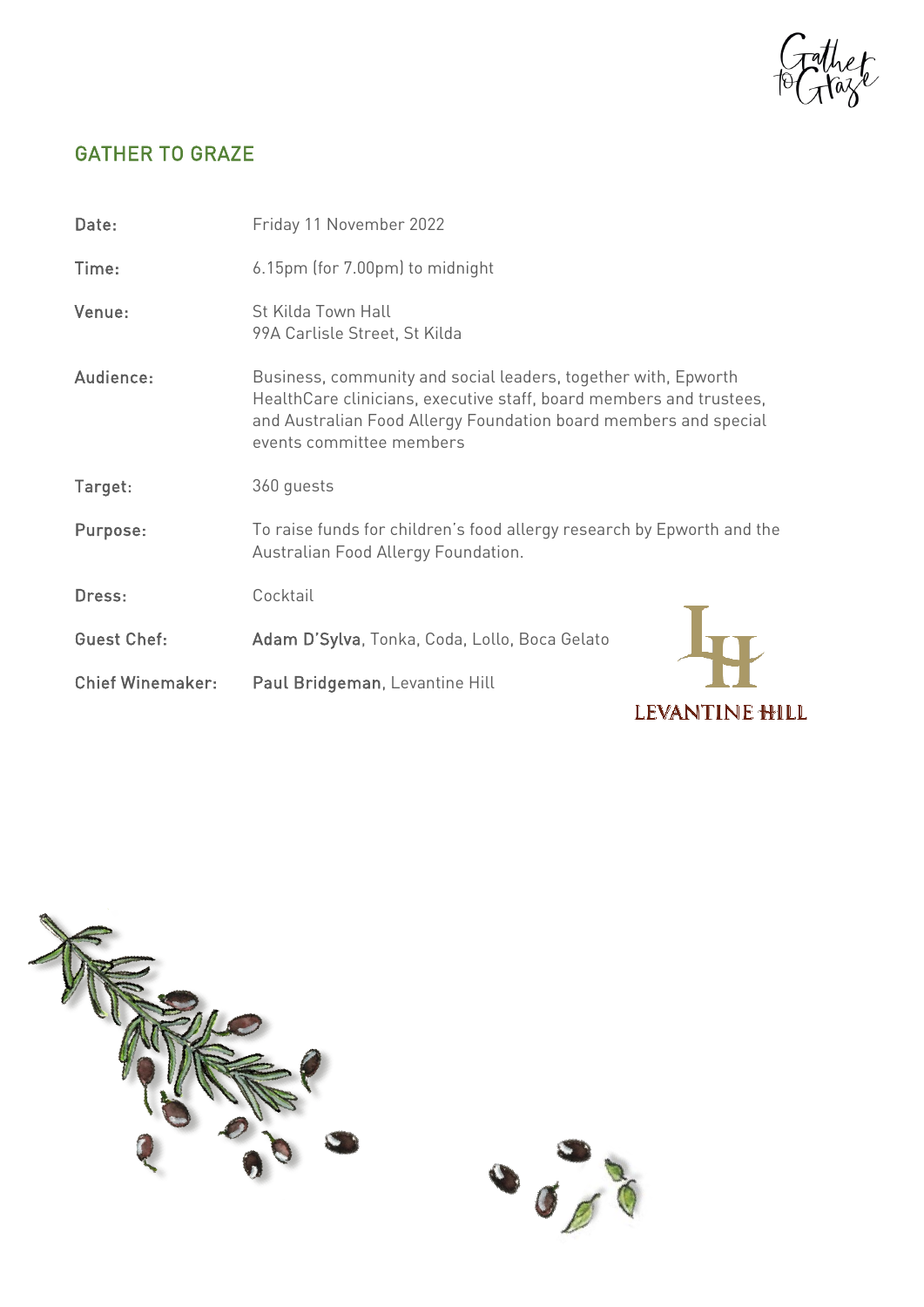rather<br>Graze

# GATHER TO GRAZE

| Date:                   | Friday 11 November 2022                                                                                                                                                                                                               |
|-------------------------|---------------------------------------------------------------------------------------------------------------------------------------------------------------------------------------------------------------------------------------|
| Time:                   | 6.15pm (for 7.00pm) to midnight                                                                                                                                                                                                       |
| Venue:                  | St Kilda Town Hall<br>99A Carlisle Street, St Kilda                                                                                                                                                                                   |
| Audience:               | Business, community and social leaders, together with, Epworth<br>HealthCare clinicians, executive staff, board members and trustees,<br>and Australian Food Allergy Foundation board members and special<br>events committee members |
| Target:                 | 360 guests                                                                                                                                                                                                                            |
| Purpose:                | To raise funds for children's food allergy research by Epworth and the<br>Australian Food Allergy Foundation.                                                                                                                         |
| Dress:                  | Cocktail                                                                                                                                                                                                                              |
| <b>Guest Chef:</b>      | Adam D'Sylva, Tonka, Coda, Lollo, Boca Gelato                                                                                                                                                                                         |
| <b>Chief Winemaker:</b> | Paul Bridgeman, Levantine Hill                                                                                                                                                                                                        |
|                         | LEVANTINE <del>H</del> ILL                                                                                                                                                                                                            |



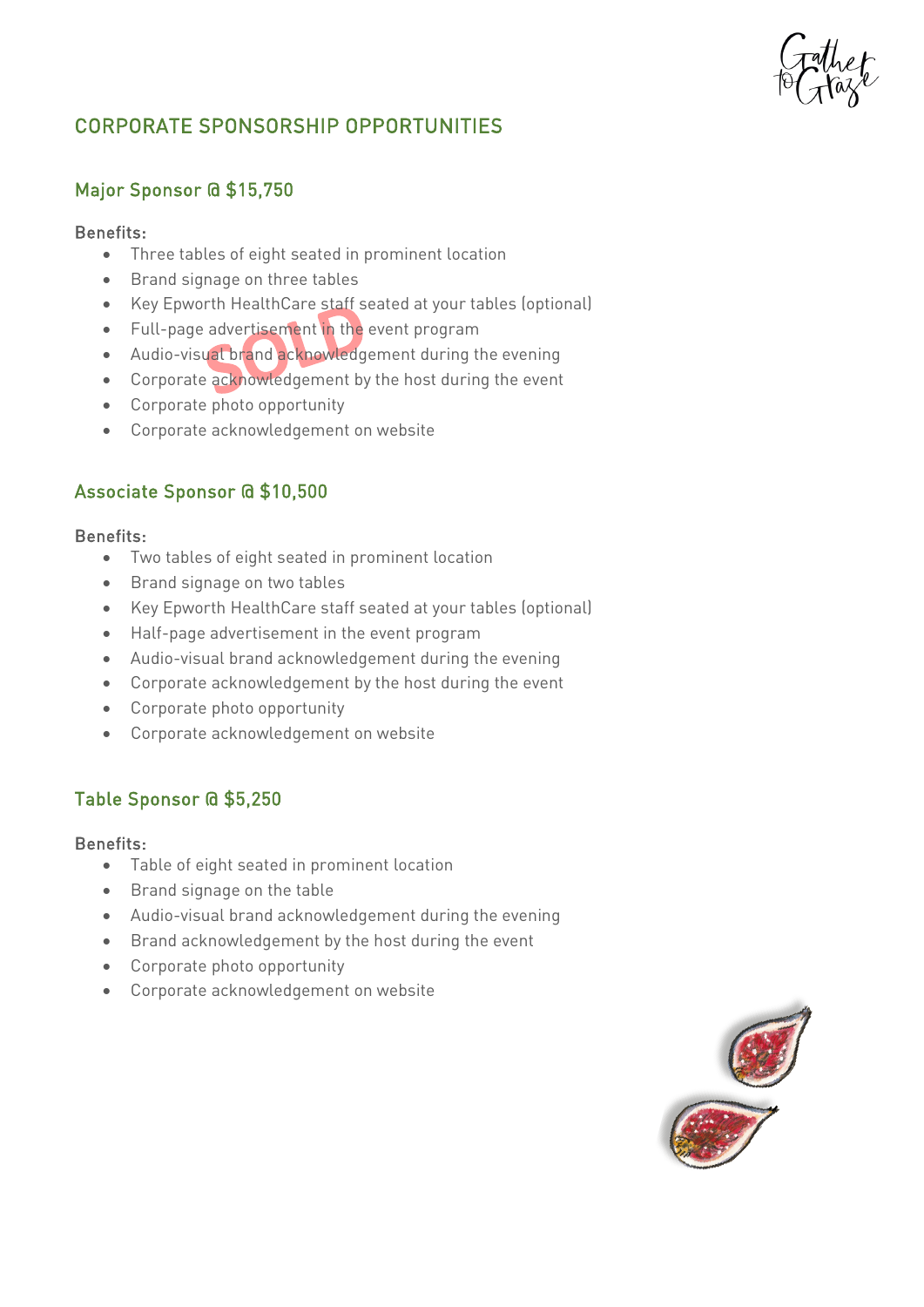# CORPORATE SPONSORSHIP OPPORTUNITIES

### Major Sponsor @ \$15,750

### Benefits:

- Three tables of eight seated in prominent location
- Brand signage on three tables
- Key Epworth HealthCare staff seated at your tables (optional)
- Full-page advertisement in the event program
- Audio-visual brand acknowledgement during the evening
- Corporate acknowledgement by the host during the event
- Corporate photo opportunity
- Corporate acknowledgement on website

### Associate Sponsor @ \$10,500

#### Benefits:

- Two tables of eight seated in prominent location
- Brand signage on two tables
- Key Epworth HealthCare staff seated at your tables (optional)
- Half-page advertisement in the event program
- Audio-visual brand acknowledgement during the evening
- Corporate acknowledgement by the host during the event
- Corporate photo opportunity
- Corporate acknowledgement on website

### Table Sponsor @ \$5,250

#### Benefits:

- Table of eight seated in prominent location
- Brand signage on the table
- Audio-visual brand acknowledgement during the evening
- Brand acknowledgement by the host during the event
- Corporate photo opportunity
- Corporate acknowledgement on website